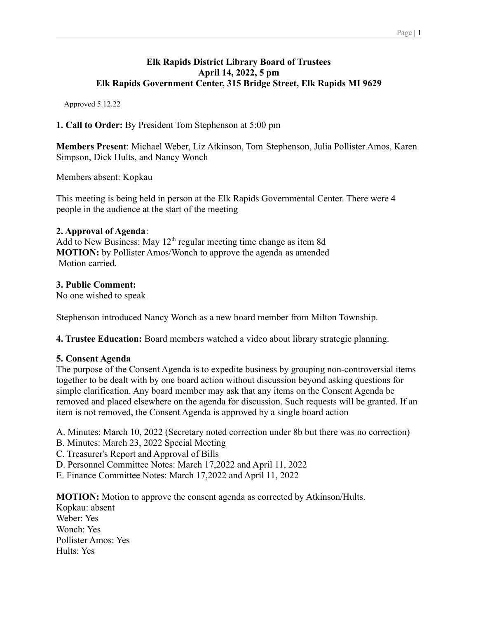### **Elk Rapids District Library Board of Trustees April 14, 2022, 5 pm Elk Rapids Government Center, 315 Bridge Street, Elk Rapids MI 9629**

Approved 5.12.22

**1. Call to Order:** By President Tom Stephenson at 5:00 pm

**Members Present**: Michael Weber, Liz Atkinson, Tom Stephenson, Julia Pollister Amos, Karen Simpson, Dick Hults, and Nancy Wonch

Members absent: Kopkau

This meeting is being held in person at the Elk Rapids Governmental Center. There were 4 people in the audience at the start of the meeting

### **2. Approval of Agenda**:

Add to New Business: May  $12<sup>th</sup>$  regular meeting time change as item 8d **MOTION:** by Pollister Amos/Wonch to approve the agenda as amended Motion carried.

### **3. Public Comment:**

No one wished to speak

Stephenson introduced Nancy Wonch as a new board member from Milton Township.

**4. Trustee Education:** Board members watched a video about library strategic planning.

#### **5. Consent Agenda**

The purpose of the Consent Agenda is to expedite business by grouping non-controversial items together to be dealt with by one board action without discussion beyond asking questions for simple clarification. Any board member may ask that any items on the Consent Agenda be removed and placed elsewhere on the agenda for discussion. Such requests will be granted. If an item is not removed, the Consent Agenda is approved by a single board action

A. Minutes: March 10, 2022 (Secretary noted correction under 8b but there was no correction)

- B. Minutes: March 23, 2022 Special Meeting
- C. Treasurer's Report and Approval of Bills
- D. Personnel Committee Notes: March 17,2022 and April 11, 2022
- E. Finance Committee Notes: March 17,2022 and April 11, 2022

**MOTION:** Motion to approve the consent agenda as corrected by Atkinson/Hults.

Kopkau: absent Weber: Yes Wonch: Yes Pollister Amos: Yes Hults: Yes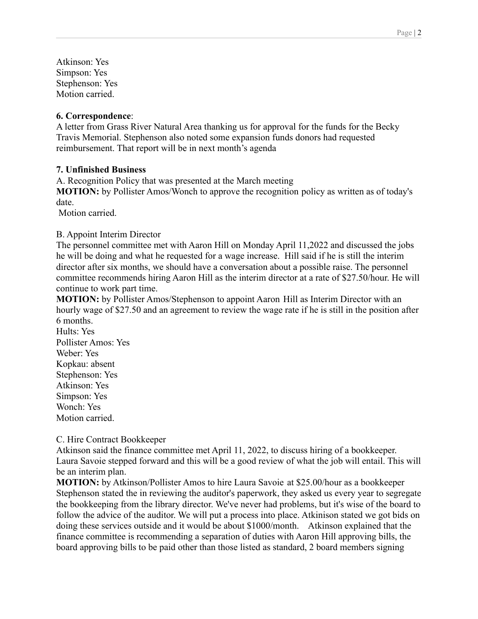Atkinson: Yes Simpson: Yes Stephenson: Yes Motion carried.

#### **6. Correspondence**:

A letter from Grass River Natural Area thanking us for approval for the funds for the Becky Travis Memorial. Stephenson also noted some expansion funds donors had requested reimbursement. That report will be in next month's agenda

### **7. Unfinished Business**

A. Recognition Policy that was presented at the March meeting

**MOTION:** by Pollister Amos/Wonch to approve the recognition policy as written as of today's date.

Motion carried.

### B. Appoint Interim Director

The personnel committee met with Aaron Hill on Monday April 11,2022 and discussed the jobs he will be doing and what he requested for a wage increase. Hill said if he is still the interim director after six months, we should have a conversation about a possible raise. The personnel committee recommends hiring Aaron Hill as the interim director at a rate of \$27.50/hour. He will continue to work part time.

**MOTION:** by Pollister Amos/Stephenson to appoint Aaron Hill as Interim Director with an hourly wage of \$27.50 and an agreement to review the wage rate if he is still in the position after 6 months.

Hults: Yes Pollister Amos: Yes Weber: Yes Kopkau: absent Stephenson: Yes Atkinson: Yes Simpson: Yes Wonch: Yes Motion carried.

#### C. Hire Contract Bookkeeper

Atkinson said the finance committee met April 11, 2022, to discuss hiring of a bookkeeper. Laura Savoie stepped forward and this will be a good review of what the job will entail. This will be an interim plan.

**MOTION:** by Atkinson/Pollister Amos to hire Laura Savoie at \$25.00/hour as a bookkeeper Stephenson stated the in reviewing the auditor's paperwork, they asked us every year to segregate the bookkeeping from the library director. We've never had problems, but it's wise of the board to follow the advice of the auditor. We will put a process into place. Atkinison stated we got bids on doing these services outside and it would be about \$1000/month. Atkinson explained that the finance committee is recommending a separation of duties with Aaron Hill approving bills, the board approving bills to be paid other than those listed as standard, 2 board members signing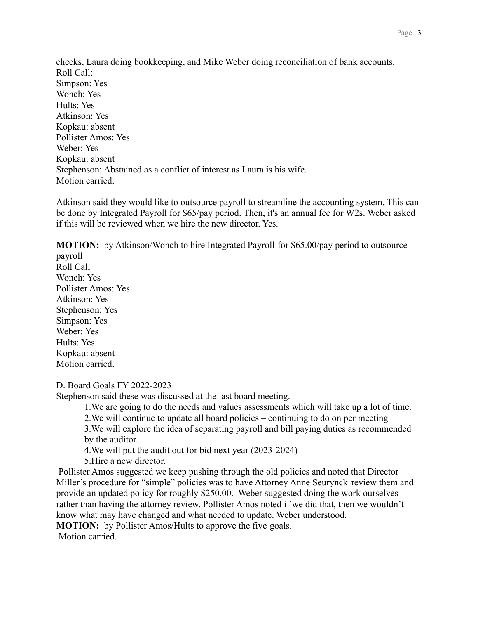checks, Laura doing bookkeeping, and Mike Weber doing reconciliation of bank accounts. Roll Call: Simpson: Yes Wonch: Yes Hults: Yes Atkinson: Yes Kopkau: absent Pollister Amos: Yes Weber: Yes Kopkau: absent Stephenson: Abstained as a conflict of interest as Laura is his wife. Motion carried.

Atkinson said they would like to outsource payroll to streamline the accounting system. This can be done by Integrated Payroll for \$65/pay period. Then, it's an annual fee for W2s. Weber asked if this will be reviewed when we hire the new director. Yes.

**MOTION:** by Atkinson/Wonch to hire Integrated Payroll for \$65.00/pay period to outsource payroll

Roll Call Wonch: Yes Pollister Amos: Yes Atkinson: Yes Stephenson: Yes Simpson: Yes Weber: Yes Hults: Yes Kopkau: absent Motion carried.

D. Board Goals FY 2022-2023

Stephenson said these was discussed at the last board meeting.

1.We are going to do the needs and values assessments which will take up a lot of time.

2.We will continue to update all board policies – continuing to do on per meeting

3.We will explore the idea of separating payroll and bill paying duties as recommended by the auditor.

4.We will put the audit out for bid next year (2023-2024)

5.Hire a new director.

Pollister Amos suggested we keep pushing through the old policies and noted that Director Miller's procedure for "simple" policies was to have Attorney Anne Seurynck review them and provide an updated policy for roughly \$250.00. Weber suggested doing the work ourselves rather than having the attorney review. Pollister Amos noted if we did that, then we wouldn't know what may have changed and what needed to update. Weber understood. **MOTION:** by Pollister Amos/Hults to approve the five goals.

Motion carried.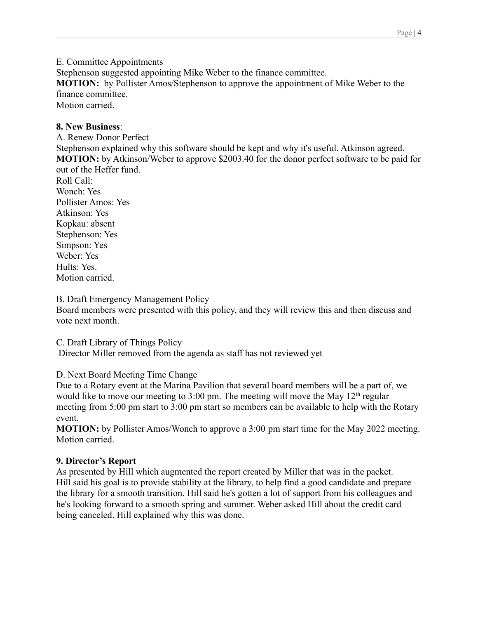E. Committee Appointments

Stephenson suggested appointing Mike Weber to the finance committee.

**MOTION:** by Pollister Amos/Stephenson to approve the appointment of Mike Weber to the finance committee.

Motion carried.

## **8. New Business**:

A. Renew Donor Perfect Stephenson explained why this software should be kept and why it's useful. Atkinson agreed. **MOTION:** by Atkinson/Weber to approve \$2003.40 for the donor perfect software to be paid for out of the Heffer fund. Roll Call:

Wonch: Yes Pollister Amos: Yes Atkinson: Yes Kopkau: absent Stephenson: Yes Simpson: Yes Weber: Yes Hults: Yes. Motion carried.

B. Draft Emergency Management Policy

Board members were presented with this policy, and they will review this and then discuss and vote next month.

C. Draft Library of Things Policy

Director Miller removed from the agenda as staff has not reviewed yet

D. Next Board Meeting Time Change

Due to a Rotary event at the Marina Pavilion that several board members will be a part of, we would like to move our meeting to  $3:00$  pm. The meeting will move the May  $12<sup>th</sup>$  regular meeting from 5:00 pm start to 3:00 pm start so members can be available to help with the Rotary event.

**MOTION:** by Pollister Amos/Wonch to approve a 3:00 pm start time for the May 2022 meeting. Motion carried.

# **9. Director's Report**

As presented by Hill which augmented the report created by Miller that was in the packet. Hill said his goal is to provide stability at the library, to help find a good candidate and prepare the library for a smooth transition. Hill said he's gotten a lot of support from his colleagues and he's looking forward to a smooth spring and summer. Weber asked Hill about the credit card being canceled. Hill explained why this was done.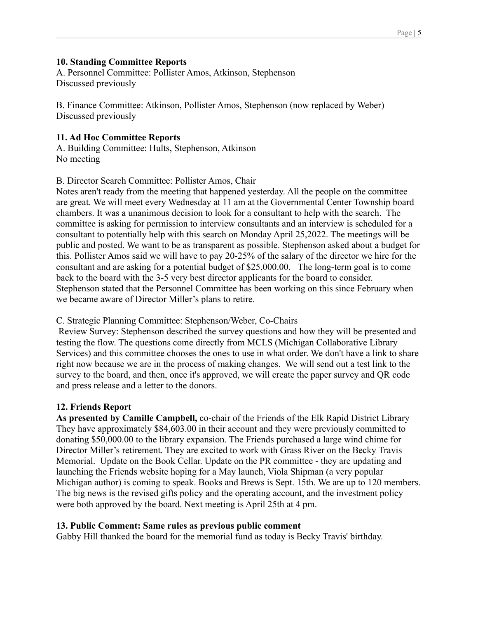## **10. Standing Committee Reports**

A. Personnel Committee: Pollister Amos, Atkinson, Stephenson Discussed previously

B. Finance Committee: Atkinson, Pollister Amos, Stephenson (now replaced by Weber) Discussed previously

# **11. Ad Hoc Committee Reports**

A. Building Committee: Hults, Stephenson, Atkinson No meeting

B. Director Search Committee: Pollister Amos, Chair

Notes aren't ready from the meeting that happened yesterday. All the people on the committee are great. We will meet every Wednesday at 11 am at the Governmental Center Township board chambers. It was a unanimous decision to look for a consultant to help with the search. The committee is asking for permission to interview consultants and an interview is scheduled for a consultant to potentially help with this search on Monday April 25,2022. The meetings will be public and posted. We want to be as transparent as possible. Stephenson asked about a budget for this. Pollister Amos said we will have to pay 20-25% of the salary of the director we hire for the consultant and are asking for a potential budget of \$25,000.00. The long-term goal is to come back to the board with the 3-5 very best director applicants for the board to consider. Stephenson stated that the Personnel Committee has been working on this since February when we became aware of Director Miller's plans to retire.

C. Strategic Planning Committee: Stephenson/Weber, Co-Chairs

Review Survey: Stephenson described the survey questions and how they will be presented and testing the flow. The questions come directly from MCLS (Michigan Collaborative Library Services) and this committee chooses the ones to use in what order. We don't have a link to share right now because we are in the process of making changes. We will send out a test link to the survey to the board, and then, once it's approved, we will create the paper survey and QR code and press release and a letter to the donors.

# **12. Friends Report**

**As presented by Camille Campbell,** co-chair of the Friends of the Elk Rapid District Library They have approximately \$84,603.00 in their account and they were previously committed to donating \$50,000.00 to the library expansion. The Friends purchased a large wind chime for Director Miller's retirement. They are excited to work with Grass River on the Becky Travis Memorial. Update on the Book Cellar. Update on the PR committee - they are updating and launching the Friends website hoping for a May launch, Viola Shipman (a very popular Michigan author) is coming to speak. Books and Brews is Sept. 15th. We are up to 120 members. The big news is the revised gifts policy and the operating account, and the investment policy were both approved by the board. Next meeting is April 25th at 4 pm.

# **13. Public Comment: Same rules as previous public comment**

Gabby Hill thanked the board for the memorial fund as today is Becky Travis' birthday.